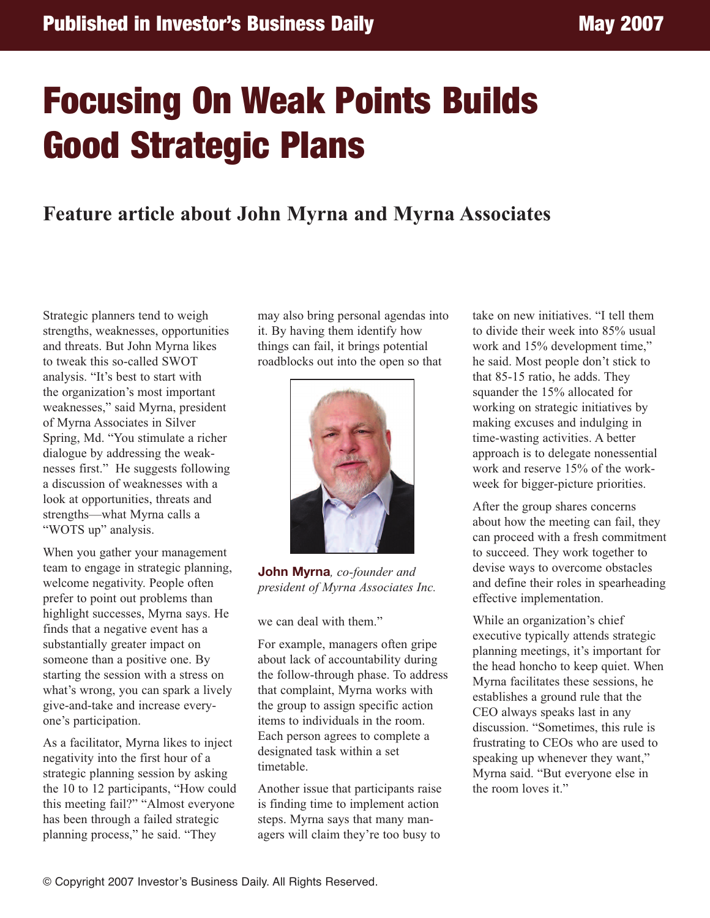## **Focusing On Weak Points Builds Good Strategic Plans**

## **Feature article about John Myrna and Myrna Associates**

Strategic planners tend to weigh strengths, weaknesses, opportunities and threats. But John Myrna likes to tweak this so-called SWOT analysis. "It's best to start with the organization's most important weaknesses," said Myrna, president of Myrna Associates in Silver Spring, Md. "You stimulate a richer dialogue by addressing the weaknesses first." He suggests following a discussion of weaknesses with a look at opportunities, threats and strengths—what Myrna calls a "WOTS up" analysis.

When you gather your management team to engage in strategic planning, welcome negativity. People often prefer to point out problems than highlight successes, Myrna says. He finds that a negative event has a substantially greater impact on someone than a positive one. By starting the session with a stress on what's wrong, you can spark a lively give-and-take and increase everyone's participation.

As a facilitator, Myrna likes to inject negativity into the first hour of a strategic planning session by asking the 10 to 12 participants, "How could this meeting fail?" "Almost everyone has been through a failed strategic planning process," he said. "They

may also bring personal agendas into it. By having them identify how things can fail, it brings potential roadblocks out into the open so that



**John Myrna***, co-founder and president of Myrna Associates Inc.*

we can deal with them."

For example, managers often gripe about lack of accountability during the follow-through phase. To address that complaint, Myrna works with the group to assign specific action items to individuals in the room. Each person agrees to complete a designated task within a set timetable.

Another issue that participants raise is finding time to implement action steps. Myrna says that many managers will claim they're too busy to

take on new initiatives. "I tell them to divide their week into 85% usual work and 15% development time," he said. Most people don't stick to that 85-15 ratio, he adds. They squander the 15% allocated for working on strategic initiatives by making excuses and indulging in time-wasting activities. A better approach is to delegate nonessential work and reserve 15% of the workweek for bigger-picture priorities.

After the group shares concerns about how the meeting can fail, they can proceed with a fresh commitment to succeed. They work together to devise ways to overcome obstacles and define their roles in spearheading effective implementation.

While an organization's chief executive typically attends strategic planning meetings, it's important for the head honcho to keep quiet. When Myrna facilitates these sessions, he establishes a ground rule that the CEO always speaks last in any discussion. "Sometimes, this rule is frustrating to CEOs who are used to speaking up whenever they want," Myrna said. "But everyone else in the room loves it."